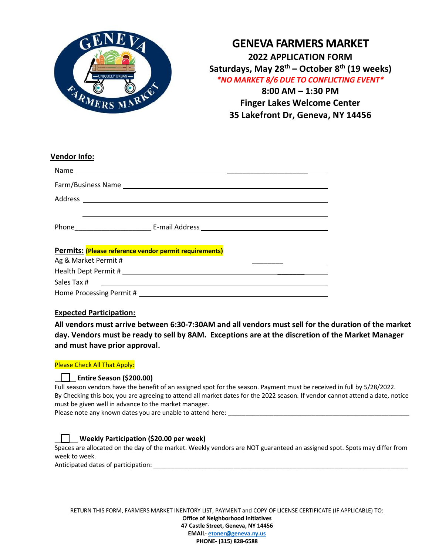

## **GENEVA FARMERS MARKET 2022 APPLICATION FORM Saturdays, May 28th – October 8th (19 weeks)** *\*NO MARKET 8/6 DUE TO CONFLICTING EVENT\** **8:00 AM – 1:30 PM Finger Lakes Welcome Center 35 Lakefront Dr, Geneva, NY 14456**

| <b>Vendor Info:</b>                                    |
|--------------------------------------------------------|
|                                                        |
|                                                        |
|                                                        |
|                                                        |
|                                                        |
|                                                        |
| Permits: (Please reference vendor permit requirements) |
|                                                        |
|                                                        |
|                                                        |
|                                                        |
|                                                        |

## **Expected Participation:**

**All vendors must arrive between 6:30-7:30AM and all vendors must sell for the duration of the market day. Vendors must be ready to sell by 8AM. Exceptions are at the discretion of the Market Manager and must have prior approval.** 

#### Please Check All That Apply:

### **Entire Season (\$200.00)**

Full season vendors have the benefit of an assigned spot for the season. Payment must be received in full by 5/28/2022. By Checking this box, you are agreeing to attend all market dates for the 2022 season. If vendor cannot attend a date, notice must be given well in advance to the market manager.

Please note any known dates you are unable to attend here: \_\_\_\_\_\_\_\_\_\_\_\_\_\_\_\_\_\_\_\_\_\_\_\_\_\_\_\_\_\_\_\_\_\_\_\_\_\_\_\_\_\_\_\_\_\_\_\_\_\_\_\_

### \_\_\_\_\_\_ **Weekly Participation (\$20.00 per week)**

Spaces are allocated on the day of the market. Weekly vendors are NOT guaranteed an assigned spot. Spots may differ from week to week.

Anticipated dates of participation: \_\_\_\_\_\_\_\_\_\_\_\_\_\_\_\_\_\_\_\_\_\_\_\_\_\_\_\_\_\_\_\_\_\_\_\_\_\_\_\_\_\_\_\_\_\_\_\_\_\_\_\_\_\_\_\_\_\_\_\_\_\_\_\_\_\_\_\_\_\_\_\_\_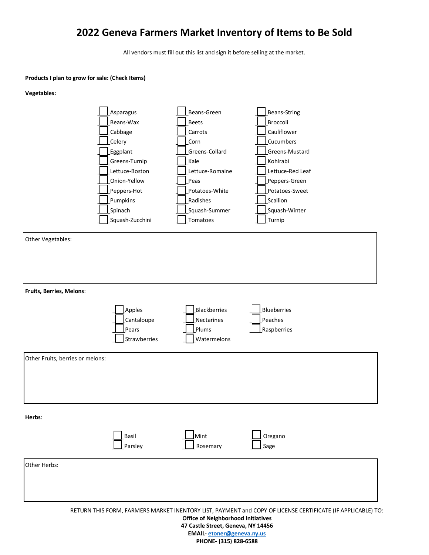# **2022 Geneva Farmers Market Inventory of Items to Be Sold**

All vendors must fill out this list and sign it before selling at the market.

#### **Products I plan to grow for sale: (Check Items)**

#### **Vegetables:**



**47 Castle Street, Geneva, NY 14456 EMAIL- [etoner@geneva.ny.us](mailto:etoner@geneva.ny.us) PHONE- (315) 828-6588**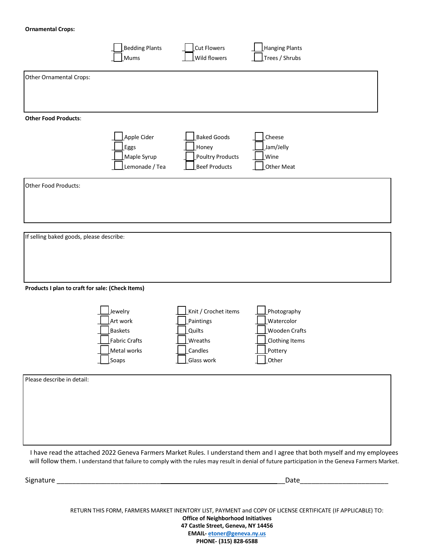#### **Ornamental Crops:**

| Other Ornamental Crops:<br><b>Other Food Products:</b><br><b>Eggs</b><br>Other Food Products:<br>If selling baked goods, please describe:<br>Products I plan to craft for sale: (Check Items)<br>Jewelry<br>Art work<br><b>Baskets</b><br><b>Fabric Crafts</b> | Apple Cider<br>Maple Syrup<br>Lemonade / Tea | <b>Baked Goods</b><br>_Honey<br>Poultry Products<br><b>Beef Products</b> | Cheese<br>Jam/Jelly<br>Wine<br>Other Meat |  |
|----------------------------------------------------------------------------------------------------------------------------------------------------------------------------------------------------------------------------------------------------------------|----------------------------------------------|--------------------------------------------------------------------------|-------------------------------------------|--|
|                                                                                                                                                                                                                                                                |                                              |                                                                          |                                           |  |
|                                                                                                                                                                                                                                                                |                                              |                                                                          |                                           |  |
|                                                                                                                                                                                                                                                                |                                              |                                                                          |                                           |  |
|                                                                                                                                                                                                                                                                |                                              |                                                                          |                                           |  |
|                                                                                                                                                                                                                                                                |                                              |                                                                          |                                           |  |
|                                                                                                                                                                                                                                                                |                                              |                                                                          |                                           |  |
|                                                                                                                                                                                                                                                                |                                              |                                                                          |                                           |  |
|                                                                                                                                                                                                                                                                |                                              |                                                                          |                                           |  |
|                                                                                                                                                                                                                                                                |                                              |                                                                          |                                           |  |
|                                                                                                                                                                                                                                                                |                                              |                                                                          |                                           |  |
|                                                                                                                                                                                                                                                                |                                              |                                                                          |                                           |  |
|                                                                                                                                                                                                                                                                |                                              |                                                                          |                                           |  |
|                                                                                                                                                                                                                                                                |                                              | Knit / Crochet items                                                     | Photography                               |  |
|                                                                                                                                                                                                                                                                |                                              | Paintings                                                                | Watercolor                                |  |
|                                                                                                                                                                                                                                                                |                                              | Quilts                                                                   | <b>Wooden Crafts</b>                      |  |
|                                                                                                                                                                                                                                                                |                                              | Wreaths                                                                  | Clothing Items                            |  |
| Metal works                                                                                                                                                                                                                                                    |                                              | Candles                                                                  | Pottery                                   |  |
| Soaps                                                                                                                                                                                                                                                          |                                              | Glass work                                                               | Other                                     |  |
| Please describe in detail:                                                                                                                                                                                                                                     |                                              |                                                                          |                                           |  |
|                                                                                                                                                                                                                                                                |                                              |                                                                          |                                           |  |
|                                                                                                                                                                                                                                                                |                                              |                                                                          |                                           |  |
|                                                                                                                                                                                                                                                                |                                              |                                                                          |                                           |  |
|                                                                                                                                                                                                                                                                |                                              |                                                                          |                                           |  |
|                                                                                                                                                                                                                                                                |                                              |                                                                          |                                           |  |
|                                                                                                                                                                                                                                                                |                                              |                                                                          |                                           |  |
| I have read the attached 2022 Geneva Farmers Market Rules. I understand them and I agree that both myself and my employees                                                                                                                                     |                                              |                                                                          |                                           |  |

Signature \_\_\_\_\_\_\_\_\_\_\_\_\_\_\_\_\_\_\_\_\_\_\_\_\_\_\_ \_\_\_\_\_\_\_\_\_\_\_\_\_\_\_\_\_\_\_\_ \_\_Date\_\_\_\_\_\_\_\_\_\_\_\_\_\_\_\_\_\_\_\_\_\_\_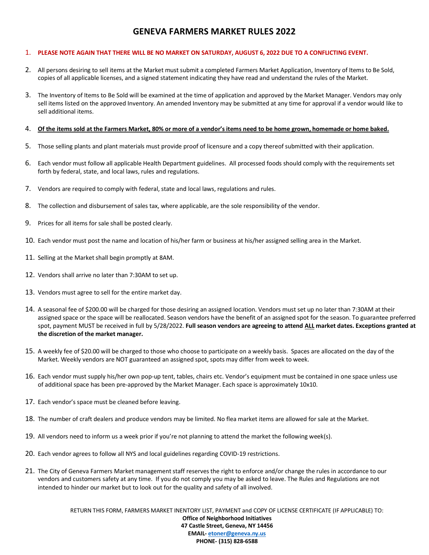## **GENEVA FARMERS MARKET RULES 2022**

#### 1. **PLEASE NOTE AGAIN THAT THERE WILL BE NO MARKET ON SATURDAY, AUGUST 6, 2022 DUE TO A CONFLICTING EVENT.**

- 2. All persons desiring to sell items at the Market must submit a completed Farmers Market Application, Inventory of Items to Be Sold, copies of all applicable licenses, and a signed statement indicating they have read and understand the rules of the Market.
- 3. The Inventory of Items to Be Sold will be examined at the time of application and approved by the Market Manager. Vendors may only sell items listed on the approved Inventory. An amended Inventory may be submitted at any time for approval if a vendor would like to sell additional items.

#### 4. **Of the items sold at the Farmers Market, 80% or more of a vendor's items need to be home grown, homemade or home baked.**

- 5. Those selling plants and plant materials must provide proof of licensure and a copy thereof submitted with their application.
- 6. Each vendor must follow all applicable Health Department guidelines. All processed foods should comply with the requirements set forth by federal, state, and local laws, rules and regulations.
- 7. Vendors are required to comply with federal, state and local laws, regulations and rules.
- 8. The collection and disbursement of sales tax, where applicable, are the sole responsibility of the vendor.
- 9. Prices for all items for sale shall be posted clearly.
- 10. Each vendor must post the name and location of his/her farm or business at his/her assigned selling area in the Market.
- 11. Selling at the Market shall begin promptly at 8AM.
- 12. Vendors shall arrive no later than 7:30AM to set up.
- 13. Vendors must agree to sell for the entire market day.
- 14. A seasonal fee of \$200.00 will be charged for those desiring an assigned location. Vendors must set up no later than 7:30AM at their assigned space or the space will be reallocated. Season vendors have the benefit of an assigned spot for the season. To guarantee preferred spot, payment MUST be received in full by 5/28/2022. **Full season vendors are agreeing to attend ALL market dates. Exceptions granted at the discretion of the market manager.**
- 15. A weekly fee of \$20.00 will be charged to those who choose to participate on a weekly basis. Spaces are allocated on the day of the Market. Weekly vendors are NOT guaranteed an assigned spot, spots may differ from week to week.
- 16. Each vendor must supply his/her own pop-up tent, tables, chairs etc. Vendor's equipment must be contained in one space unless use of additional space has been pre-approved by the Market Manager. Each space is approximately 10x10.
- 17. Each vendor's space must be cleaned before leaving.
- 18. The number of craft dealers and produce vendors may be limited. No flea market items are allowed for sale at the Market.
- 19. All vendors need to inform us a week prior if you're not planning to attend the market the following week(s).
- 20. Each vendor agrees to follow all NYS and local guidelines regarding COVID-19 restrictions.
- 21. The City of Geneva Farmers Market management staff reserves the right to enforce and/or change the rules in accordance to our vendors and customers safety at any time. If you do not comply you may be asked to leave. The Rules and Regulations are not intended to hinder our market but to look out for the quality and safety of all involved.